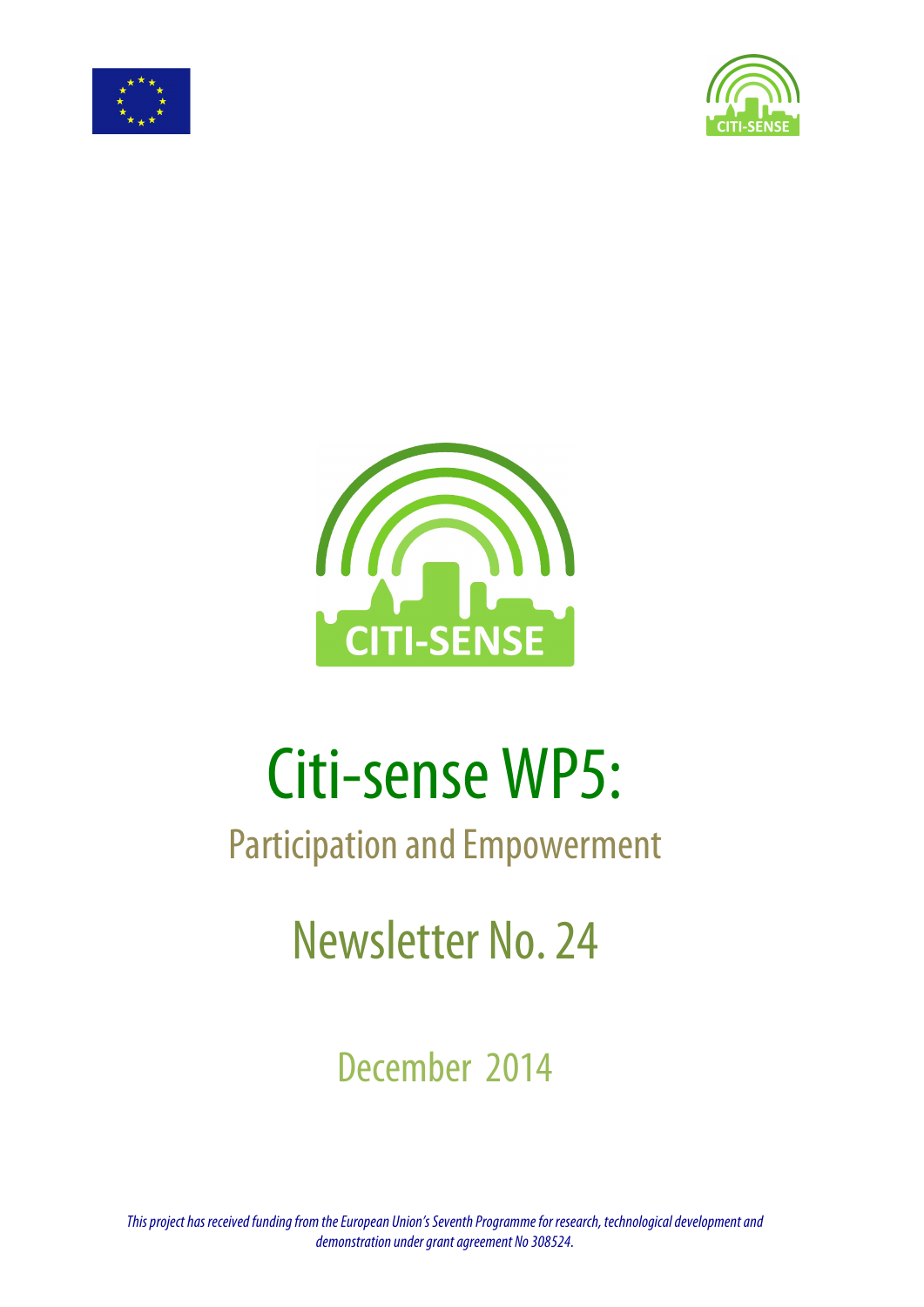





# Citi-sense WP5:

## Participation and Empowerment

## Newsletter No. 24

December 2014

*This project has received funding from the European Union's Seventh Programme for research, technological development and demonstration under grant agreement No 308524.*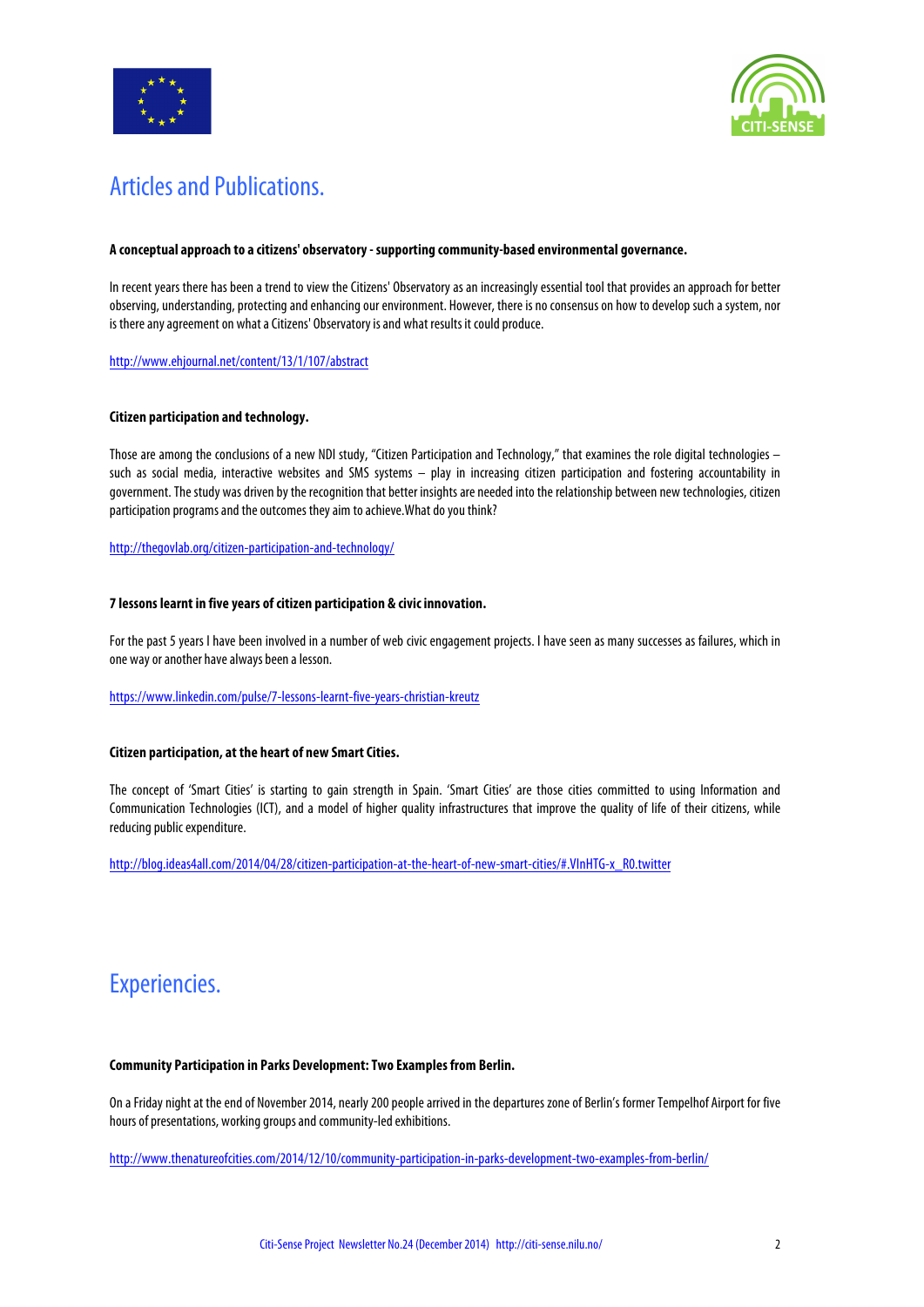



## Articles and Publications.

#### **A conceptual approach to a citizens' observatory - supporting community-based environmental governance.**

In recent years there has been a trend to view the Citizens' Observatory as an increasingly essential tool that provides an approach for better observing, understanding, protecting and enhancing our environment. However, there is no consensus on how to develop such a system, nor is there any agreement on what a Citizens' Observatory is and what results it could produce.

http://www.ehjournal.net/content/13/1/107/abstract

#### **Citizen participation and technology.**

Those are among the conclusions of a new NDI study, "Citizen Participation and Technology," that examines the role digital technologies – such as social media, interactive websites and SMS systems – play in increasing citizen participation and fostering accountability in government. The study was driven by the recognition that better insights are needed into the relationship between new technologies, citizen participation programs and the outcomes they aim to achieve.What do you think?

http://thegovlab.org/citizen-participation-and-technology/

#### **7 lessons learnt in five years of citizen participation & civic innovation.**

For the past 5 years I have been involved in a number of web civic engagement projects. I have seen as many successes as failures, which in one way or another have always been a lesson.

#### https://www.linkedin.com/pulse/7-lessons-learnt-five-years-christian-kreutz

#### **Citizen participation, at the heart of new Smart Cities.**

The concept of 'Smart Cities' is starting to gain strength in Spain. 'Smart Cities' are those cities committed to using Information and Communication Technologies (ICT), and a model of higher quality infrastructures that improve the quality of life of their citizens, while reducing public expenditure.

http://blog.ideas4all.com/2014/04/28/citizen-participation-at-the-heart-of-new-smart-cities/#.VInHTG-x\_R0.twitter

### Experiencies.

#### **Community Participation in Parks Development: Two Examples from Berlin.**

On a Friday night at the end of November 2014, nearly 200 people arrived in the departures zone of Berlin's former Tempelhof Airport for five hours of presentations, working groups and community-led exhibitions.

http://www.thenatureofcities.com/2014/12/10/community-participation-in-parks-development-two-examples-from-berlin/